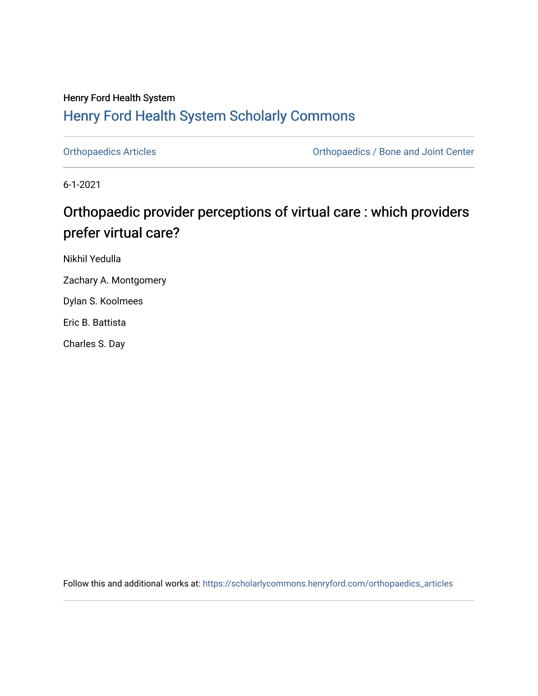## Henry Ford Health System [Henry Ford Health System Scholarly Commons](https://scholarlycommons.henryford.com/)

[Orthopaedics Articles](https://scholarlycommons.henryford.com/orthopaedics_articles) [Orthopaedics / Bone and Joint Center](https://scholarlycommons.henryford.com/orthopaedics) 

6-1-2021

# Orthopaedic provider perceptions of virtual care : which providers prefer virtual care?

Nikhil Yedulla

Zachary A. Montgomery

Dylan S. Koolmees

Eric B. Battista

Charles S. Day

Follow this and additional works at: [https://scholarlycommons.henryford.com/orthopaedics\\_articles](https://scholarlycommons.henryford.com/orthopaedics_articles?utm_source=scholarlycommons.henryford.com%2Forthopaedics_articles%2F330&utm_medium=PDF&utm_campaign=PDFCoverPages)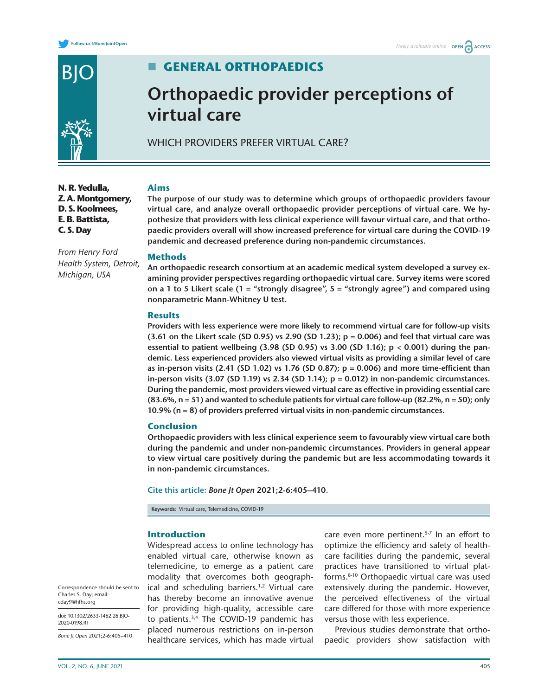



**C. S. Day**

*From Henry Ford Health System, Detroit,* 

*Michigan, USA*

### **GENERAL ORTHOPAEDICS**

# **Orthopaedic provider perceptions of virtual care**

WHICH PROVIDERS PREFER VIRTUAL CARE?

#### **N. R. Yedulla, Z. A. Montgomery, D. S. Koolmees, E. B. Battista,**

**Aims**

**The purpose of our study was to determine which groups of orthopaedic providers favour virtual care, and analyze overall orthopaedic provider perceptions of virtual care. We hypothesize that providers with less clinical experience will favour virtual care, and that orthopaedic providers overall will show increased preference for virtual care during the COVID-19 pandemic and decreased preference during non-pandemic circumstances.**

#### **Methods**

**An orthopaedic research consortium at an academic medical system developed a survey examining provider perspectives regarding orthopaedic virtual care. Survey items were scored on a 1 to 5 Likert scale (1 = "strongly disagree", 5 = "strongly agree") and compared using nonparametric Mann-Whitney U test.**

#### **Results**

**Providers with less experience were more likely to recommend virtual care for follow-up visits (3.61 on the Likert scale (SD 0.95) vs 2.90 (SD 1.23); p = 0.006) and feel that virtual care was essential to patient wellbeing (3.98 (SD 0.95) vs 3.00 (SD 1.16); p < 0.001) during the pandemic. Less experienced providers also viewed virtual visits as providing a similar level of care as in-person visits (2.41 (SD 1.02) vs 1.76 (SD 0.87); p = 0.006) and more time-efficient than in-person visits (3.07 (SD 1.19) vs 2.34 (SD 1.14); p = 0.012) in non-pandemic circumstances. During the pandemic, most providers viewed virtual care as effective in providing essential care (83.6%, n = 51) and wanted to schedule patients for virtual care follow-up (82.2%, n = 50); only 10.9% (n = 8) of providers preferred virtual visits in non-pandemic circumstances.**

### **Conclusion**

**Orthopaedic providers with less clinical experience seem to favourably view virtual care both during the pandemic and under non-pandemic circumstances. Providers in general appear to view virtual care positively during the pandemic but are less accommodating towards it in non-pandemic circumstances.**

**Cite this article:** *Bone Jt Open* **2021;2-6:405–410.**

**Keywords:** Virtual care, Telemedicine, COVID-19

### **Introduction**

Widespread access to online technology has enabled virtual care, otherwise known as telemedicine, to emerge as a patient care modality that overcomes both geographical and scheduling barriers.<sup>1,2</sup> Virtual care has thereby become an innovative avenue for providing high-quality, accessible care to patients.[3,4](#page-6-1) The COVID-19 pandemic has placed numerous restrictions on in-person healthcare services, which has made virtual care even more pertinent.<sup>5-7</sup> In an effort to optimize the efficiency and safety of healthcare facilities during the pandemic, several practices have transitioned to virtual platforms[.8-10](#page-6-3) Orthopaedic virtual care was used extensively during the pandemic. However, the perceived effectiveness of the virtual care differed for those with more experience versus those with less experience.

Previous studies demonstrate that orthopaedic providers show satisfaction with

Correspondence should be sent to Charles S. Day; email: [cday9@hfhs.org](mailto:cday9@hfhs.org)

doi: 10.1302/2633-1462.26.BJO-2020-0198.R1

*Bone Jt Open* 2021;2-6:405–410.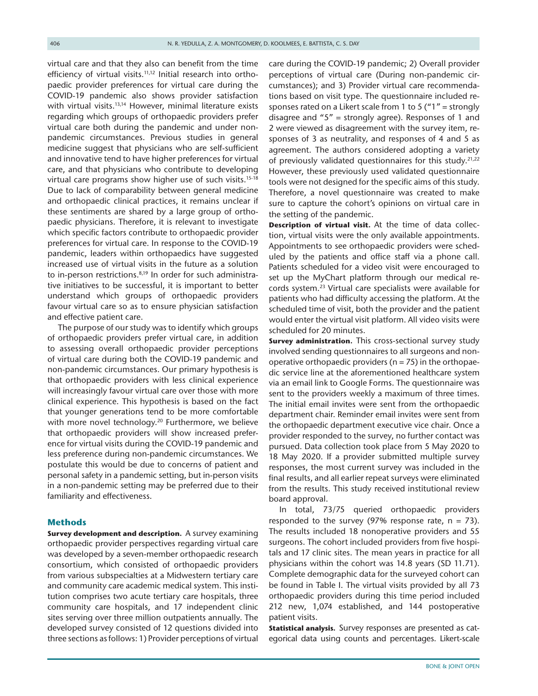virtual care and that they also can benefit from the time efficiency of virtual visits.<sup>11,12</sup> Initial research into orthopaedic provider preferences for virtual care during the COVID-19 pandemic also shows provider satisfaction with virtual visits.<sup>13,14</sup> However, minimal literature exists regarding which groups of orthopaedic providers prefer virtual care both during the pandemic and under nonpandemic circumstances. Previous studies in general medicine suggest that physicians who are self-sufficient and innovative tend to have higher preferences for virtual care, and that physicians who contribute to developing virtual care programs show higher use of such visits.<sup>15-18</sup> Due to lack of comparability between general medicine and orthopaedic clinical practices, it remains unclear if these sentiments are shared by a large group of orthopaedic physicians. Therefore, it is relevant to investigate which specific factors contribute to orthopaedic provider preferences for virtual care. In response to the COVID-19 pandemic, leaders within orthopaedics have suggested increased use of virtual visits in the future as a solution to in-person restrictions.<sup>8,19</sup> In order for such administrative initiatives to be successful, it is important to better understand which groups of orthopaedic providers favour virtual care so as to ensure physician satisfaction and effective patient care.

The purpose of our study was to identify which groups of orthopaedic providers prefer virtual care, in addition to assessing overall orthopaedic provider perceptions of virtual care during both the COVID-19 pandemic and non-pandemic circumstances. Our primary hypothesis is that orthopaedic providers with less clinical experience will increasingly favour virtual care over those with more clinical experience. This hypothesis is based on the fact that younger generations tend to be more comfortable with more novel technology.<sup>20</sup> Furthermore, we believe that orthopaedic providers will show increased preference for virtual visits during the COVID-19 pandemic and less preference during non-pandemic circumstances. We postulate this would be due to concerns of patient and personal safety in a pandemic setting, but in-person visits in a non-pandemic setting may be preferred due to their familiarity and effectiveness.

#### **Methods**

**Survey development and description.** A survey examining orthopaedic provider perspectives regarding virtual care was developed by a seven-member orthopaedic research consortium, which consisted of orthopaedic providers from various subspecialties at a Midwestern tertiary care and community care academic medical system. This institution comprises two acute tertiary care hospitals, three community care hospitals, and 17 independent clinic sites serving over three million outpatients annually. The developed survey consisted of 12 questions divided into three sections as follows: 1) Provider perceptions of virtual care during the COVID-19 pandemic; 2) Overall provider perceptions of virtual care (During non-pandemic circumstances); and 3) Provider virtual care recommendations based on visit type. The questionnaire included responses rated on a Likert scale from 1 to 5 ("1" = strongly disagree and "5" = strongly agree). Responses of 1 and 2 were viewed as disagreement with the survey item, responses of 3 as neutrality, and responses of 4 and 5 as agreement. The authors considered adopting a variety of previously validated questionnaires for this study.<sup>21,22</sup> However, these previously used validated questionnaire tools were not designed for the specific aims of this study. Therefore, a novel questionnaire was created to make sure to capture the cohort's opinions on virtual care in the setting of the pandemic.

**Description of virtual visit.** At the time of data collection, virtual visits were the only available appointments. Appointments to see orthopaedic providers were scheduled by the patients and office staff via a phone call. Patients scheduled for a video visit were encouraged to set up the MyChart platform through our medical records system.[23](#page-6-9) Virtual care specialists were available for patients who had difficulty accessing the platform. At the scheduled time of visit, both the provider and the patient would enter the virtual visit platform. All video visits were scheduled for 20 minutes.

**Survey administration.** This cross-sectional survey study involved sending questionnaires to all surgeons and nonoperative orthopaedic providers ( $n = 75$ ) in the orthopaedic service line at the aforementioned healthcare system via an email link to Google Forms. The questionnaire was sent to the providers weekly a maximum of three times. The initial email invites were sent from the orthopaedic department chair. Reminder email invites were sent from the orthopaedic department executive vice chair. Once a provider responded to the survey, no further contact was pursued. Data collection took place from 5 May 2020 to 18 May 2020. If a provider submitted multiple survey responses, the most current survey was included in the final results, and all earlier repeat surveys were eliminated from the results. This study received institutional review board approval.

In total, 73/75 queried orthopaedic providers responded to the survey (97% response rate,  $n = 73$ ). The results included 18 nonoperative providers and 55 surgeons. The cohort included providers from five hospitals and 17 clinic sites. The mean years in practice for all physicians within the cohort was 14.8 years (SD 11.71). Complete demographic data for the surveyed cohort can be found in [Table I.](#page-3-0) The virtual visits provided by all 73 orthopaedic providers during this time period included 212 new, 1,074 established, and 144 postoperative patient visits.

**Statistical analysis.** Survey responses are presented as categorical data using counts and percentages. Likert-scale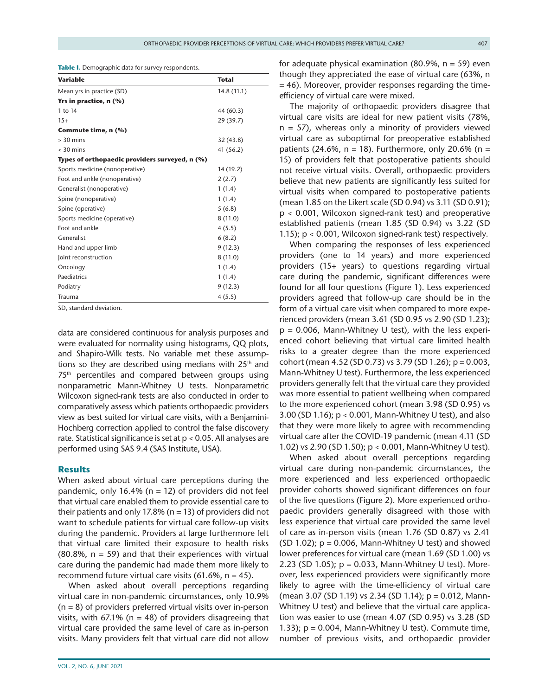<span id="page-3-0"></span>**Table I.** Demographic data for survey respondents.

| Variable                                       | <b>Total</b> |
|------------------------------------------------|--------------|
| Mean yrs in practice (SD)                      | 14.8(11.1)   |
| Yrs in practice, n (%)                         |              |
| 1 to 14                                        | 44 (60.3)    |
| $15+$                                          | 29(39.7)     |
| Commute time, n (%)                            |              |
| $> 30$ mins                                    | 32(43.8)     |
| $<$ 30 mins                                    | 41 (56.2)    |
| Types of orthopaedic providers surveyed, n (%) |              |
| Sports medicine (nonoperative)                 | 14 (19.2)    |
| Foot and ankle (nonoperative)                  | 2(2.7)       |
| Generalist (nonoperative)                      | 1(1.4)       |
| Spine (nonoperative)                           | 1(1.4)       |
| Spine (operative)                              | 5(6.8)       |
| Sports medicine (operative)                    | 8(11.0)      |
| Foot and ankle                                 | 4(5.5)       |
| Generalist                                     | 6(8.2)       |
| Hand and upper limb                            | 9(12.3)      |
| Joint reconstruction                           | 8(11.0)      |
| Oncology                                       | 1(1.4)       |
| Paediatrics                                    | 1(1.4)       |
| Podiatry                                       | 9(12.3)      |
| Trauma                                         | 4(5.5)       |

SD, standard deviation.

data are considered continuous for analysis purposes and were evaluated for normality using histograms, QQ plots, and Shapiro-Wilk tests. No variable met these assumptions so they are described using medians with  $25<sup>th</sup>$  and 75th percentiles and compared between groups using nonparametric Mann-Whitney U tests. Nonparametric Wilcoxon signed-rank tests are also conducted in order to comparatively assess which patients orthopaedic providers view as best suited for virtual care visits, with a Benjamini-Hochberg correction applied to control the false discovery rate. Statistical significance is set at p < 0.05. All analyses are performed using SAS 9.4 (SAS Institute, USA).

#### **Results**

When asked about virtual care perceptions during the pandemic, only 16.4% ( $n = 12$ ) of providers did not feel that virtual care enabled them to provide essential care to their patients and only 17.8% ( $n = 13$ ) of providers did not want to schedule patients for virtual care follow-up visits during the pandemic. Providers at large furthermore felt that virtual care limited their exposure to health risks  $(80.8\%$ ,  $n = 59$ ) and that their experiences with virtual care during the pandemic had made them more likely to recommend future virtual care visits (61.6%,  $n = 45$ ).

When asked about overall perceptions regarding virtual care in non-pandemic circumstances, only 10.9%  $(n = 8)$  of providers preferred virtual visits over in-person visits, with 67.1% ( $n = 48$ ) of providers disagreeing that virtual care provided the same level of care as in-person visits. Many providers felt that virtual care did not allow for adequate physical examination (80.9%,  $n = 59$ ) even though they appreciated the ease of virtual care (63%, n = 46). Moreover, provider responses regarding the timeefficiency of virtual care were mixed.

The majority of orthopaedic providers disagree that virtual care visits are ideal for new patient visits (78%,  $n = 57$ ), whereas only a minority of providers viewed virtual care as suboptimal for preoperative established patients (24.6%,  $n = 18$ ). Furthermore, only 20.6% (n = 15) of providers felt that postoperative patients should not receive virtual visits. Overall, orthopaedic providers believe that new patients are significantly less suited for virtual visits when compared to postoperative patients (mean 1.85 on the Likert scale (SD 0.94) vs 3.11 (SD 0.91); p < 0.001, Wilcoxon signed-rank test) and preoperative established patients (mean 1.85 (SD 0.94) vs 3.22 (SD 1.15); p < 0.001, Wilcoxon signed-rank test) respectively.

When comparing the responses of less experienced providers (one to 14 years) and more experienced providers (15+ years) to questions regarding virtual care during the pandemic, significant differences were found for all four questions [\(Figure 1\)](#page-4-0). Less experienced providers agreed that follow-up care should be in the form of a virtual care visit when compared to more experienced providers (mean 3.61 (SD 0.95 vs 2.90 (SD 1.23);  $p = 0.006$ , Mann-Whitney U test), with the less experienced cohort believing that virtual care limited health risks to a greater degree than the more experienced cohort (mean 4.52 (SD 0.73) vs 3.79 (SD 1.26); p = 0.003, Mann-Whitney U test). Furthermore, the less experienced providers generally felt that the virtual care they provided was more essential to patient wellbeing when compared to the more experienced cohort (mean 3.98 (SD 0.95) vs 3.00 (SD 1.16); p < 0.001, Mann-Whitney U test), and also that they were more likely to agree with recommending virtual care after the COVID-19 pandemic (mean 4.11 (SD 1.02) vs 2.90 (SD 1.50); p < 0.001, Mann-Whitney U test).

When asked about overall perceptions regarding virtual care during non-pandemic circumstances, the more experienced and less experienced orthopaedic provider cohorts showed significant differences on four of the five questions [\(Figure 2\)](#page-5-0). More experienced orthopaedic providers generally disagreed with those with less experience that virtual care provided the same level of care as in-person visits (mean 1.76 (SD 0.87) vs 2.41  $(SD 1.02)$ ;  $p = 0.006$ , Mann-Whitney U test) and showed lower preferences for virtual care (mean 1.69 (SD 1.00) vs 2.23 (SD 1.05); p = 0.033, Mann-Whitney U test). Moreover, less experienced providers were significantly more likely to agree with the time-efficiency of virtual care (mean 3.07 (SD 1.19) vs 2.34 (SD 1.14); p = 0.012, Mann-Whitney U test) and believe that the virtual care application was easier to use (mean 4.07 (SD 0.95) vs 3.28 (SD 1.33);  $p = 0.004$ , Mann-Whitney U test). Commute time, number of previous visits, and orthopaedic provider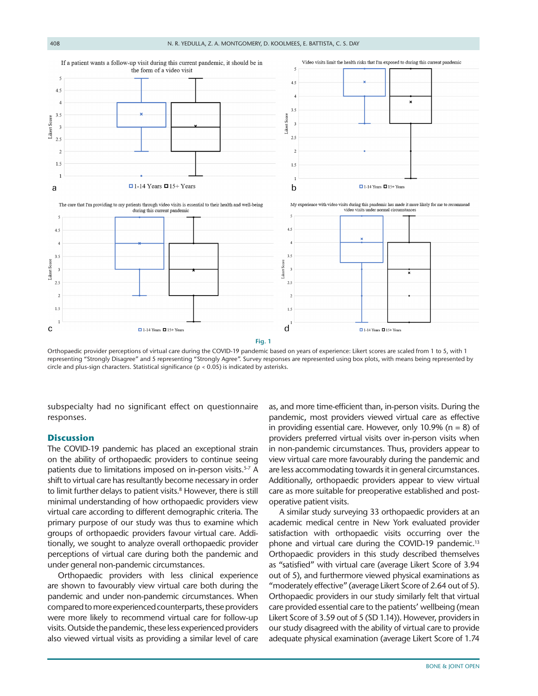

<span id="page-4-0"></span>Orthopaedic provider perceptions of virtual care during the COVID-19 pandemic based on years of experience: Likert scores are scaled from 1 to 5, with 1 representing "Strongly Disagree" and 5 representing "Strongly Agree". Survey responses are represented using box plots, with means being represented by circle and plus-sign characters. Statistical significance (p < 0.05) is indicated by asterisks.

subspecialty had no significant effect on questionnaire responses.

#### **Discussion**

The COVID-19 pandemic has placed an exceptional strain on the ability of orthopaedic providers to continue seeing patients due to limitations imposed on in-person visits.<sup>5-7</sup> A shift to virtual care has resultantly become necessary in order to limit further delays to patient visits.<sup>8</sup> However, there is still minimal understanding of how orthopaedic providers view virtual care according to different demographic criteria. The primary purpose of our study was thus to examine which groups of orthopaedic providers favour virtual care. Additionally, we sought to analyze overall orthopaedic provider perceptions of virtual care during both the pandemic and under general non-pandemic circumstances.

Orthopaedic providers with less clinical experience are shown to favourably view virtual care both during the pandemic and under non-pandemic circumstances. When compared to more experienced counterparts, these providers were more likely to recommend virtual care for follow-up visits. Outside the pandemic, these less experienced providers also viewed virtual visits as providing a similar level of care as, and more time-efficient than, in-person visits. During the pandemic, most providers viewed virtual care as effective in providing essential care. However, only 10.9% ( $n = 8$ ) of providers preferred virtual visits over in-person visits when in non-pandemic circumstances. Thus, providers appear to view virtual care more favourably during the pandemic and are less accommodating towards it in general circumstances. Additionally, orthopaedic providers appear to view virtual care as more suitable for preoperative established and postoperative patient visits.

A similar study surveying 33 orthopaedic providers at an academic medical centre in New York evaluated provider satisfaction with orthopaedic visits occurring over the phone and virtual care during the COVID-19 pandemic.<sup>13</sup> Orthopaedic providers in this study described themselves as "satisfied" with virtual care (average Likert Score of 3.94 out of 5), and furthermore viewed physical examinations as "moderately effective" (average Likert Score of 2.64 out of 5). Orthopaedic providers in our study similarly felt that virtual care provided essential care to the patients' wellbeing (mean Likert Score of 3.59 out of 5 (SD 1.14)). However, providers in our study disagreed with the ability of virtual care to provide adequate physical examination (average Likert Score of 1.74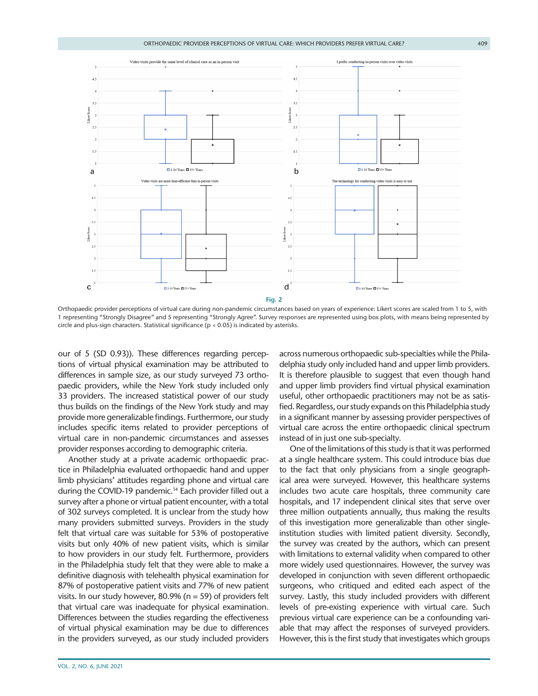

<span id="page-5-0"></span>Orthopaedic provider perceptions of virtual care during non-pandemic circumstances based on years of experience: Likert scores are scaled from 1 to 5, with 1 representing "Strongly Disagree" and 5 representing "Strongly Agree". Survey responses are represented using box plots, with means being represented by circle and plus-sign characters. Statistical significance (p < 0.05) is indicated by asterisks.

our of 5 (SD 0.93)). These differences regarding perceptions of virtual physical examination may be attributed to differences in sample size, as our study surveyed 73 orthopaedic providers, while the New York study included only 33 providers. The increased statistical power of our study thus builds on the findings of the New York study and may provide more generalizable findings. Furthermore, our study includes specific items related to provider perceptions of virtual care in non-pandemic circumstances and assesses provider responses according to demographic criteria.

Another study at a private academic orthopaedic practice in Philadelphia evaluated orthopaedic hand and upper limb physicians' attitudes regarding phone and virtual care during the COVID-19 pandemic.<sup>14</sup> Each provider filled out a survey after a phone or virtual patient encounter, with a total of 302 surveys completed. It is unclear from the study how many providers submitted surveys. Providers in the study felt that virtual care was suitable for 53% of postoperative visits but only 40% of new patient visits, which is similar to how providers in our study felt. Furthermore, providers in the Philadelphia study felt that they were able to make a definitive diagnosis with telehealth physical examination for 87% of postoperative patient visits and 77% of new patient visits. In our study however, 80.9% (n = 59) of providers felt that virtual care was inadequate for physical examination. Differences between the studies regarding the effectiveness of virtual physical examination may be due to differences in the providers surveyed, as our study included providers

across numerous orthopaedic sub-specialties while the Philadelphia study only included hand and upper limb providers. It is therefore plausible to suggest that even though hand and upper limb providers find virtual physical examination useful, other orthopaedic practitioners may not be as satisfied. Regardless, our study expands on this Philadelphia study in a significant manner by assessing provider perspectives of virtual care across the entire orthopaedic clinical spectrum instead of in just one sub-specialty.

One of the limitations of this study is that it was performed at a single healthcare system. This could introduce bias due to the fact that only physicians from a single geographical area were surveyed. However, this healthcare systems includes two acute care hospitals, three community care hospitals, and 17 independent clinical sites that serve over three million outpatients annually, thus making the results of this investigation more generalizable than other singleinstitution studies with limited patient diversity. Secondly, the survey was created by the authors, which can present with limitations to external validity when compared to other more widely used questionnaires. However, the survey was developed in conjunction with seven different orthopaedic surgeons, who critiqued and edited each aspect of the survey. Lastly, this study included providers with different levels of pre-existing experience with virtual care. Such previous virtual care experience can be a confounding variable that may affect the responses of surveyed providers. However, this is the first study that investigates which groups